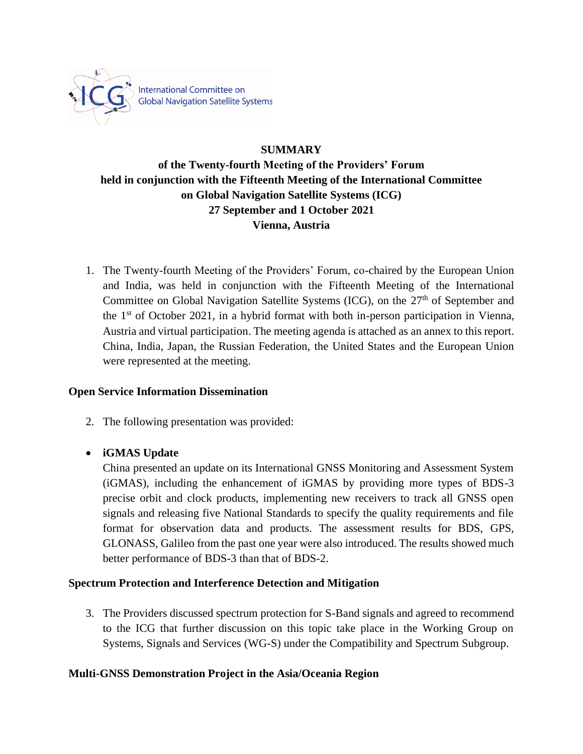

International Committee on<br>Global Navigation Satellite Systems

## **SUMMARY**

# **of the Twenty-fourth Meeting of the Providers' Forum held in conjunction with the Fifteenth Meeting of the International Committee on Global Navigation Satellite Systems (ICG) 27 September and 1 October 2021 Vienna, Austria**

1. The Twenty-fourth Meeting of the Providers' Forum, co-chaired by the European Union and India, was held in conjunction with the Fifteenth Meeting of the International Committee on Global Navigation Satellite Systems (ICG), on the  $27<sup>th</sup>$  of September and the  $1<sup>st</sup>$  of October 2021, in a hybrid format with both in-person participation in Vienna, Austria and virtual participation. The meeting agenda is attached as an annex to this report. China, India, Japan, the Russian Federation, the United States and the European Union were represented at the meeting.

## **Open Service Information Dissemination**

2. The following presentation was provided:

## • **iGMAS Update**

China presented an update on its International GNSS Monitoring and Assessment System (iGMAS), including the enhancement of iGMAS by providing more types of BDS-3 precise orbit and clock products, implementing new receivers to track all GNSS open signals and releasing five National Standards to specify the quality requirements and file format for observation data and products. The assessment results for BDS, GPS, GLONASS, Galileo from the past one year were also introduced. The results showed much better performance of BDS-3 than that of BDS-2.

## **Spectrum Protection and Interference Detection and Mitigation**

3. The Providers discussed spectrum protection for S-Band signals and agreed to recommend to the ICG that further discussion on this topic take place in the Working Group on Systems, Signals and Services (WG-S) under the Compatibility and Spectrum Subgroup.

## **Multi-GNSS Demonstration Project in the Asia/Oceania Region**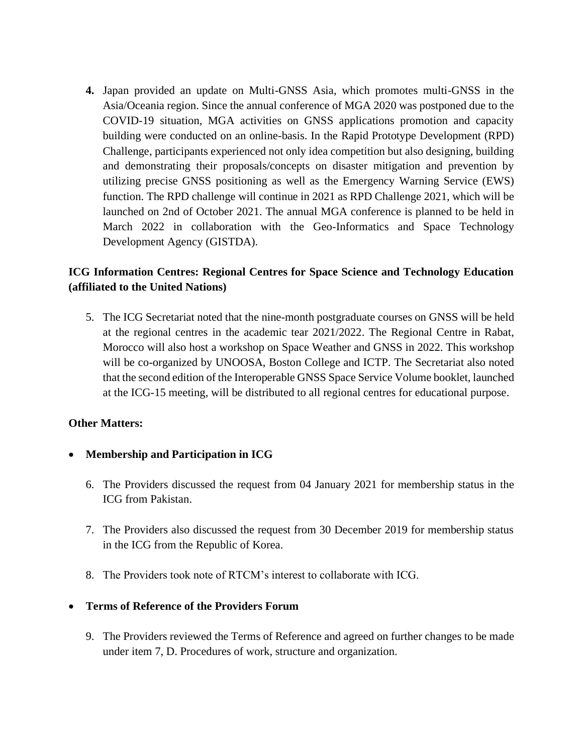**4.** Japan provided an update on Multi-GNSS Asia, which promotes multi-GNSS in the Asia/Oceania region. Since the annual conference of MGA 2020 was postponed due to the COVID-19 situation, MGA activities on GNSS applications promotion and capacity building were conducted on an online-basis. In the Rapid Prototype Development (RPD) Challenge, participants experienced not only idea competition but also designing, building and demonstrating their proposals/concepts on disaster mitigation and prevention by utilizing precise GNSS positioning as well as the Emergency Warning Service (EWS) function. The RPD challenge will continue in 2021 as RPD Challenge 2021, which will be launched on 2nd of October 2021. The annual MGA conference is planned to be held in March 2022 in collaboration with the Geo-Informatics and Space Technology Development Agency (GISTDA).

## **ICG Information Centres: Regional Centres for Space Science and Technology Education (affiliated to the United Nations)**

5. The ICG Secretariat noted that the nine-month postgraduate courses on GNSS will be held at the regional centres in the academic tear 2021/2022. The Regional Centre in Rabat, Morocco will also host a workshop on Space Weather and GNSS in 2022. This workshop will be co-organized by UNOOSA, Boston College and ICTP. The Secretariat also noted that the second edition of the Interoperable GNSS Space Service Volume booklet, launched at the ICG-15 meeting, will be distributed to all regional centres for educational purpose.

## **Other Matters:**

- **Membership and Participation in ICG**
	- 6. The Providers discussed the request from 04 January 2021 for membership status in the ICG from Pakistan.
	- 7. The Providers also discussed the request from 30 December 2019 for membership status in the ICG from the Republic of Korea.
	- 8. The Providers took note of RTCM's interest to collaborate with ICG.

#### • **Terms of Reference of the Providers Forum**

9. The Providers reviewed the Terms of Reference and agreed on further changes to be made under item 7, D. Procedures of work, structure and organization.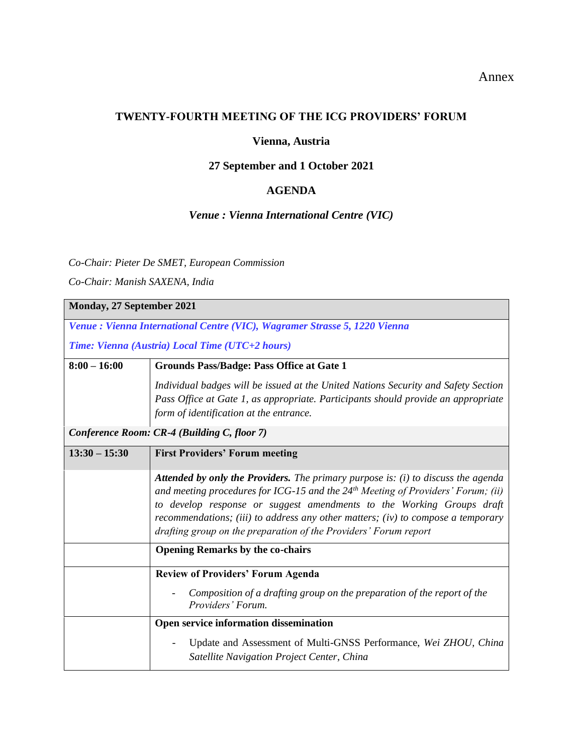### Annex

### **TWENTY-FOURTH MEETING OF THE ICG PROVIDERS' FORUM**

## **Vienna, Austria**

# **27 September and 1 October 2021**

## **AGENDA**

### *Venue : Vienna International Centre (VIC)*

### *Co-Chair: Pieter De SMET, European Commission*

*Co-Chair: Manish SAXENA, India*

| Monday, 27 September 2021                                                  |                                                                                                                                                                                                                                                                                                                                                                                                                 |  |
|----------------------------------------------------------------------------|-----------------------------------------------------------------------------------------------------------------------------------------------------------------------------------------------------------------------------------------------------------------------------------------------------------------------------------------------------------------------------------------------------------------|--|
| Venue : Vienna International Centre (VIC), Wagramer Strasse 5, 1220 Vienna |                                                                                                                                                                                                                                                                                                                                                                                                                 |  |
| Time: Vienna (Austria) Local Time (UTC+2 hours)                            |                                                                                                                                                                                                                                                                                                                                                                                                                 |  |
| $8:00 - 16:00$                                                             | <b>Grounds Pass/Badge: Pass Office at Gate 1</b>                                                                                                                                                                                                                                                                                                                                                                |  |
|                                                                            | Individual badges will be issued at the United Nations Security and Safety Section                                                                                                                                                                                                                                                                                                                              |  |
|                                                                            | Pass Office at Gate 1, as appropriate. Participants should provide an appropriate                                                                                                                                                                                                                                                                                                                               |  |
|                                                                            | form of identification at the entrance.                                                                                                                                                                                                                                                                                                                                                                         |  |
| Conference Room: CR-4 (Building C, floor 7)                                |                                                                                                                                                                                                                                                                                                                                                                                                                 |  |
| $13:30 - 15:30$                                                            | <b>First Providers' Forum meeting</b>                                                                                                                                                                                                                                                                                                                                                                           |  |
|                                                                            | <b>Attended by only the Providers.</b> The primary purpose is: (i) to discuss the agenda<br>and meeting procedures for ICG-15 and the $24th$ Meeting of Providers' Forum; (ii)<br>to develop response or suggest amendments to the Working Groups draft<br>recommendations; (iii) to address any other matters; (iv) to compose a temporary<br>drafting group on the preparation of the Providers' Forum report |  |
|                                                                            | <b>Opening Remarks by the co-chairs</b>                                                                                                                                                                                                                                                                                                                                                                         |  |
|                                                                            | <b>Review of Providers' Forum Agenda</b>                                                                                                                                                                                                                                                                                                                                                                        |  |
|                                                                            | Composition of a drafting group on the preparation of the report of the<br>Providers' Forum.                                                                                                                                                                                                                                                                                                                    |  |
|                                                                            | Open service information dissemination                                                                                                                                                                                                                                                                                                                                                                          |  |
|                                                                            | Update and Assessment of Multi-GNSS Performance, Wei ZHOU, China<br>Satellite Navigation Project Center, China                                                                                                                                                                                                                                                                                                  |  |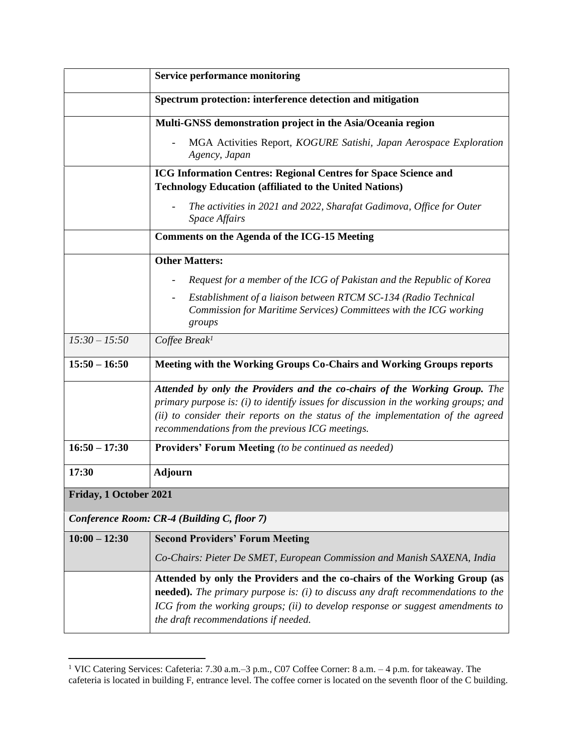|                                             | <b>Service performance monitoring</b>                                                                                                                                                                                                                                                                     |
|---------------------------------------------|-----------------------------------------------------------------------------------------------------------------------------------------------------------------------------------------------------------------------------------------------------------------------------------------------------------|
|                                             | Spectrum protection: interference detection and mitigation                                                                                                                                                                                                                                                |
|                                             | Multi-GNSS demonstration project in the Asia/Oceania region                                                                                                                                                                                                                                               |
|                                             | MGA Activities Report, KOGURE Satishi, Japan Aerospace Exploration<br>Agency, Japan                                                                                                                                                                                                                       |
|                                             | ICG Information Centres: Regional Centres for Space Science and<br><b>Technology Education (affiliated to the United Nations)</b>                                                                                                                                                                         |
|                                             | The activities in 2021 and 2022, Sharafat Gadimova, Office for Outer<br><b>Space Affairs</b>                                                                                                                                                                                                              |
|                                             | <b>Comments on the Agenda of the ICG-15 Meeting</b>                                                                                                                                                                                                                                                       |
|                                             | <b>Other Matters:</b>                                                                                                                                                                                                                                                                                     |
|                                             | Request for a member of the ICG of Pakistan and the Republic of Korea                                                                                                                                                                                                                                     |
|                                             | Establishment of a liaison between RTCM SC-134 (Radio Technical<br>Commission for Maritime Services) Committees with the ICG working<br>groups                                                                                                                                                            |
| $15:30 - 15:50$                             | Coffee Break <sup>1</sup>                                                                                                                                                                                                                                                                                 |
| $15:50 - 16:50$                             | Meeting with the Working Groups Co-Chairs and Working Groups reports                                                                                                                                                                                                                                      |
|                                             | Attended by only the Providers and the co-chairs of the Working Group. The<br>primary purpose is: (i) to identify issues for discussion in the working groups; and<br>(ii) to consider their reports on the status of the implementation of the agreed<br>recommendations from the previous ICG meetings. |
| $16:50 - 17:30$                             | <b>Providers' Forum Meeting</b> (to be continued as needed)                                                                                                                                                                                                                                               |
| 17:30                                       | <b>Adjourn</b>                                                                                                                                                                                                                                                                                            |
| Friday, 1 October 2021                      |                                                                                                                                                                                                                                                                                                           |
| Conference Room: CR-4 (Building C, floor 7) |                                                                                                                                                                                                                                                                                                           |
| $10:00 - 12:30$                             | <b>Second Providers' Forum Meeting</b>                                                                                                                                                                                                                                                                    |
|                                             | Co-Chairs: Pieter De SMET, European Commission and Manish SAXENA, India                                                                                                                                                                                                                                   |
|                                             | Attended by only the Providers and the co-chairs of the Working Group (as<br><b>needed).</b> The primary purpose is: (i) to discuss any draft recommendations to the<br>ICG from the working groups; (ii) to develop response or suggest amendments to<br>the draft recommendations if needed.            |

<sup>&</sup>lt;sup>1</sup> VIC Catering Services: Cafeteria:  $7.30$  a.m. $-3$  p.m., C07 Coffee Corner:  $8$  a.m.  $-4$  p.m. for takeaway. The cafeteria is located in building F, entrance level. The coffee corner is located on the seventh floor of the C building.